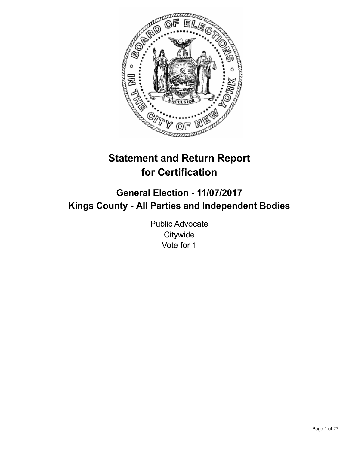

# **Statement and Return Report for Certification**

## **General Election - 11/07/2017 Kings County - All Parties and Independent Bodies**

Public Advocate **Citywide** Vote for 1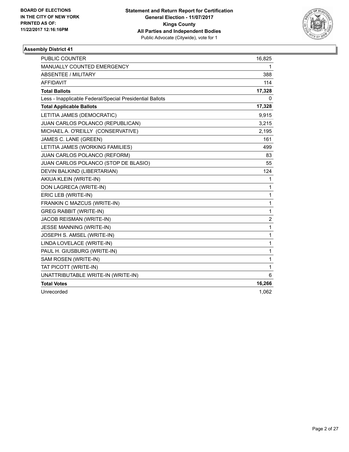

| <b>PUBLIC COUNTER</b>                                    | 16,825         |
|----------------------------------------------------------|----------------|
| MANUALLY COUNTED EMERGENCY                               | 1              |
| ABSENTEE / MILITARY                                      | 388            |
| <b>AFFIDAVIT</b>                                         | 114            |
| <b>Total Ballots</b>                                     | 17,328         |
| Less - Inapplicable Federal/Special Presidential Ballots | 0              |
| <b>Total Applicable Ballots</b>                          | 17,328         |
| LETITIA JAMES (DEMOCRATIC)                               | 9,915          |
| JUAN CARLOS POLANCO (REPUBLICAN)                         | 3,215          |
| MICHAEL A. O'REILLY (CONSERVATIVE)                       | 2,195          |
| JAMES C. LANE (GREEN)                                    | 161            |
| LETITIA JAMES (WORKING FAMILIES)                         | 499            |
| JUAN CARLOS POLANCO (REFORM)                             | 83             |
| JUAN CARLOS POLANCO (STOP DE BLASIO)                     | 55             |
| DEVIN BALKIND (LIBERTARIAN)                              | 124            |
| AKIUA KLEIN (WRITE-IN)                                   | 1              |
| DON LAGRECA (WRITE-IN)                                   | 1              |
| ERIC LEB (WRITE-IN)                                      | 1              |
| FRANKIN C MAZCUS (WRITE-IN)                              | 1              |
| <b>GREG RABBIT (WRITE-IN)</b>                            | 1              |
| <b>JACOB REISMAN (WRITE-IN)</b>                          | $\overline{2}$ |
| JESSE MANNING (WRITE-IN)                                 | $\mathbf{1}$   |
| JOSEPH S. AMSEL (WRITE-IN)                               | $\mathbf{1}$   |
| LINDA LOVELACE (WRITE-IN)                                | 1              |
| PAUL H. GIUSBURG (WRITE-IN)                              | 1              |
| SAM ROSEN (WRITE-IN)                                     | $\mathbf{1}$   |
| TAT PICOTT (WRITE-IN)                                    | 1              |
| UNATTRIBUTABLE WRITE-IN (WRITE-IN)                       | 6              |
| <b>Total Votes</b>                                       | 16,266         |
| Unrecorded                                               | 1,062          |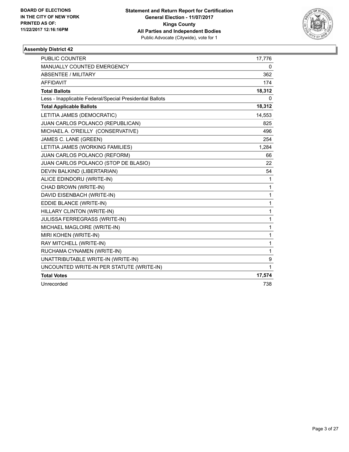

| PUBLIC COUNTER                                           | 17,776 |
|----------------------------------------------------------|--------|
| <b>MANUALLY COUNTED EMERGENCY</b>                        | 0      |
| ABSENTEE / MILITARY                                      | 362    |
| <b>AFFIDAVIT</b>                                         | 174    |
| <b>Total Ballots</b>                                     | 18,312 |
| Less - Inapplicable Federal/Special Presidential Ballots | 0      |
| <b>Total Applicable Ballots</b>                          | 18,312 |
| LETITIA JAMES (DEMOCRATIC)                               | 14,553 |
| JUAN CARLOS POLANCO (REPUBLICAN)                         | 825    |
| MICHAEL A. O'REILLY (CONSERVATIVE)                       | 496    |
| JAMES C. LANE (GREEN)                                    | 254    |
| LETITIA JAMES (WORKING FAMILIES)                         | 1,284  |
| JUAN CARLOS POLANCO (REFORM)                             | 66     |
| JUAN CARLOS POLANCO (STOP DE BLASIO)                     | 22     |
| DEVIN BALKIND (LIBERTARIAN)                              | 54     |
| ALICE EDINDORU (WRITE-IN)                                | 1      |
| CHAD BROWN (WRITE-IN)                                    | 1      |
| DAVID EISENBACH (WRITE-IN)                               | 1      |
| EDDIE BLANCE (WRITE-IN)                                  | 1      |
| HILLARY CLINTON (WRITE-IN)                               | 1      |
| JULISSA FERREGRASS (WRITE-IN)                            | 1      |
| MICHAEL MAGLOIRE (WRITE-IN)                              | 1      |
| MIRI KOHEN (WRITE-IN)                                    | 1      |
| RAY MITCHELL (WRITE-IN)                                  | 1      |
| RUCHAMA CYNAMEN (WRITE-IN)                               | 1      |
| UNATTRIBUTABLE WRITE-IN (WRITE-IN)                       | 9      |
| UNCOUNTED WRITE-IN PER STATUTE (WRITE-IN)                | 1      |
| <b>Total Votes</b>                                       | 17,574 |
| Unrecorded                                               | 738    |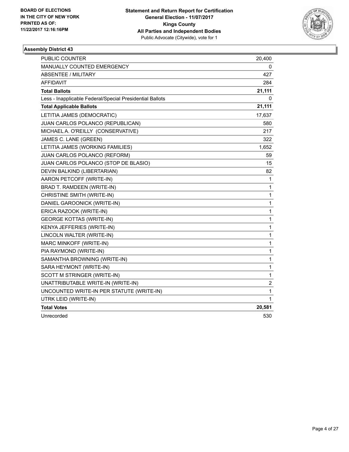

| PUBLIC COUNTER                                           | 20,400       |
|----------------------------------------------------------|--------------|
| MANUALLY COUNTED EMERGENCY                               | 0            |
| <b>ABSENTEE / MILITARY</b>                               | 427          |
| AFFIDAVIT                                                | 284          |
| <b>Total Ballots</b>                                     | 21,111       |
| Less - Inapplicable Federal/Special Presidential Ballots | 0            |
| <b>Total Applicable Ballots</b>                          | 21,111       |
| LETITIA JAMES (DEMOCRATIC)                               | 17,637       |
| JUAN CARLOS POLANCO (REPUBLICAN)                         | 580          |
| MICHAEL A. O'REILLY (CONSERVATIVE)                       | 217          |
| JAMES C. LANE (GREEN)                                    | 322          |
| LETITIA JAMES (WORKING FAMILIES)                         | 1,652        |
| <b>JUAN CARLOS POLANCO (REFORM)</b>                      | 59           |
| JUAN CARLOS POLANCO (STOP DE BLASIO)                     | 15           |
| DEVIN BALKIND (LIBERTARIAN)                              | 82           |
| AARON PETCOFF (WRITE-IN)                                 | 1            |
| BRAD T. RAMDEEN (WRITE-IN)                               | 1            |
| CHRISTINE SMITH (WRITE-IN)                               | 1            |
| DANIEL GAROONICK (WRITE-IN)                              | 1            |
| ERICA RAZOOK (WRITE-IN)                                  | $\mathbf{1}$ |
| <b>GEORGE KOTTAS (WRITE-IN)</b>                          | 1            |
| KENYA JEFFERIES (WRITE-IN)                               | 1            |
| LINCOLN WALTER (WRITE-IN)                                | 1            |
| MARC MINKOFF (WRITE-IN)                                  | $\mathbf{1}$ |
| PIA RAYMOND (WRITE-IN)                                   | 1            |
| SAMANTHA BROWNING (WRITE-IN)                             | 1            |
| SARA HEYMONT (WRITE-IN)                                  | 1            |
| SCOTT M STRINGER (WRITE-IN)                              | 1            |
| UNATTRIBUTABLE WRITE-IN (WRITE-IN)                       | 2            |
| UNCOUNTED WRITE-IN PER STATUTE (WRITE-IN)                | 1            |
| UTRK LEID (WRITE-IN)                                     | 1            |
| <b>Total Votes</b>                                       | 20,581       |
| Unrecorded                                               | 530          |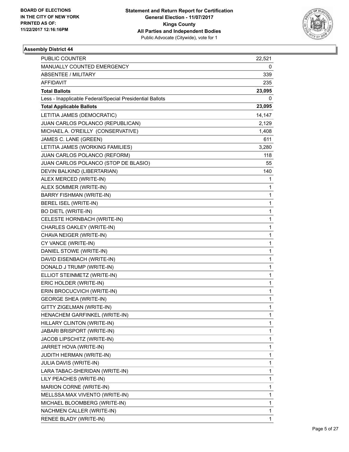

| PUBLIC COUNTER                                           | 22,521 |
|----------------------------------------------------------|--------|
| MANUALLY COUNTED EMERGENCY                               | 0      |
| <b>ABSENTEE / MILITARY</b>                               | 339    |
| AFFIDAVIT                                                | 235    |
| <b>Total Ballots</b>                                     | 23,095 |
| Less - Inapplicable Federal/Special Presidential Ballots | 0      |
| <b>Total Applicable Ballots</b>                          | 23,095 |
| LETITIA JAMES (DEMOCRATIC)                               | 14,147 |
| JUAN CARLOS POLANCO (REPUBLICAN)                         | 2,129  |
| MICHAEL A. O'REILLY (CONSERVATIVE)                       | 1,408  |
| JAMES C. LANE (GREEN)                                    | 611    |
| LETITIA JAMES (WORKING FAMILIES)                         | 3,280  |
| JUAN CARLOS POLANCO (REFORM)                             | 118    |
| JUAN CARLOS POLANCO (STOP DE BLASIO)                     | 55     |
| DEVIN BALKIND (LIBERTARIAN)                              | 140    |
| ALEX MERCED (WRITE-IN)                                   | 1      |
| ALEX SOMMER (WRITE-IN)                                   | 1      |
| BARRY FISHMAN (WRITE-IN)                                 | 1      |
| BEREL ISEL (WRITE-IN)                                    | 1      |
| <b>BO DIETL (WRITE-IN)</b>                               | 1      |
| CELESTE HORNBACH (WRITE-IN)                              | 1      |
| CHARLES OAKLEY (WRITE-IN)                                | 1      |
| CHAVA NEIGER (WRITE-IN)                                  | 1      |
| CY VANCE (WRITE-IN)                                      | 1      |
| DANIEL STOWE (WRITE-IN)                                  | 1      |
| DAVID EISENBACH (WRITE-IN)                               | 1      |
| DONALD J TRUMP (WRITE-IN)                                | 1      |
| ELLIOT STEINMETZ (WRITE-IN)                              | 1      |
| ERIC HOLDER (WRITE-IN)                                   | 1      |
| ERIN BROCUCVICH (WRITE-IN)                               | 1      |
| <b>GEORGE SHEA (WRITE-IN)</b>                            | 1      |
| GITTY ZIGELMAN (WRITE-IN)                                | 1      |
| HENACHEM GARFINKEL (WRITE-IN)                            | 1      |
| HILLARY CLINTON (WRITE-IN)                               | 1      |
| JABARI BRISPORT (WRITE-IN)                               | 1      |
| JACOB LIPSCHITZ (WRITE-IN)                               | 1      |
| JARRET HOVA (WRITE-IN)                                   | 1      |
| <b>JUDITH HERMAN (WRITE-IN)</b>                          | 1      |
| JULIA DAVIS (WRITE-IN)                                   | 1      |
| LARA TABAC-SHERIDAN (WRITE-IN)                           | 1      |
| LILY PEACHES (WRITE-IN)                                  | 1      |
| MARION CORNE (WRITE-IN)                                  | 1      |
| MELLSSA MAX VIVENTO (WRITE-IN)                           | 1      |
| MICHAEL BLOOMBERG (WRITE-IN)                             | 1      |
| NACHMEN CALLER (WRITE-IN)                                | 1      |
| RENEE BLADY (WRITE-IN)                                   | 1      |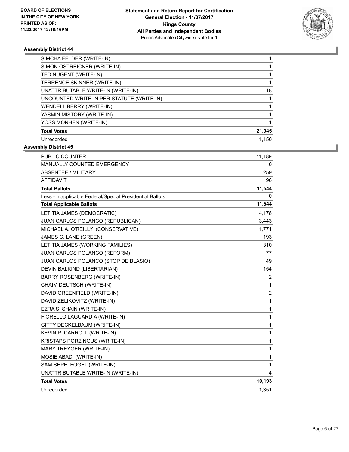

| SIMCHA FELDER (WRITE-IN)                  |        |
|-------------------------------------------|--------|
| SIMON OSTREICNER (WRITE-IN)               |        |
| TED NUGENT (WRITE-IN)                     |        |
| TERRENCE SKINNER (WRITE-IN)               |        |
| UNATTRIBUTABLE WRITE-IN (WRITE-IN)        | 18     |
| UNCOUNTED WRITE-IN PER STATUTE (WRITE-IN) |        |
| WENDELL BERRY (WRITE-IN)                  |        |
| YASMIN MISTORY (WRITE-IN)                 |        |
| YOSS MONHEN (WRITE-IN)                    |        |
| <b>Total Votes</b>                        | 21,945 |
| Unrecorded                                | 1.150  |

| <b>PUBLIC COUNTER</b>                                    | 11,189         |
|----------------------------------------------------------|----------------|
| MANUALLY COUNTED EMERGENCY                               | 0              |
| <b>ABSENTEE / MILITARY</b>                               | 259            |
| <b>AFFIDAVIT</b>                                         | 96             |
| <b>Total Ballots</b>                                     | 11,544         |
| Less - Inapplicable Federal/Special Presidential Ballots | 0              |
| <b>Total Applicable Ballots</b>                          | 11,544         |
| LETITIA JAMES (DEMOCRATIC)                               | 4,178          |
| JUAN CARLOS POLANCO (REPUBLICAN)                         | 3,443          |
| MICHAEL A. O'REILLY (CONSERVATIVE)                       | 1,771          |
| JAMES C. LANE (GREEN)                                    | 193            |
| LETITIA JAMES (WORKING FAMILIES)                         | 310            |
| JUAN CARLOS POLANCO (REFORM)                             | 77             |
| JUAN CARLOS POLANCO (STOP DE BLASIO)                     | 49             |
| DEVIN BALKIND (LIBERTARIAN)                              | 154            |
| <b>BARRY ROSENBERG (WRITE-IN)</b>                        | $\overline{2}$ |
| CHAIM DEUTSCH (WRITE-IN)                                 | 1              |
| DAVID GREENFIELD (WRITE-IN)                              | $\overline{2}$ |
| DAVID ZELIKOVITZ (WRITE-IN)                              | 1              |
| EZRA S. SHAIN (WRITE-IN)                                 | 1              |
| FIORELLO LAGUARDIA (WRITE-IN)                            | 1              |
| GITTY DECKELBAUM (WRITE-IN)                              | 1              |
| KEVIN P. CARROLL (WRITE-IN)                              | 1              |
| KRISTAPS PORZINGUS (WRITE-IN)                            | 1              |
| MARY TREYGER (WRITE-IN)                                  | 1              |
| MOSIE ABADI (WRITE-IN)                                   | 1              |
| SAM SHPELFOGEL (WRITE-IN)                                | 1              |
| UNATTRIBUTABLE WRITE-IN (WRITE-IN)                       | 4              |
| <b>Total Votes</b>                                       | 10,193         |
| Unrecorded                                               | 1,351          |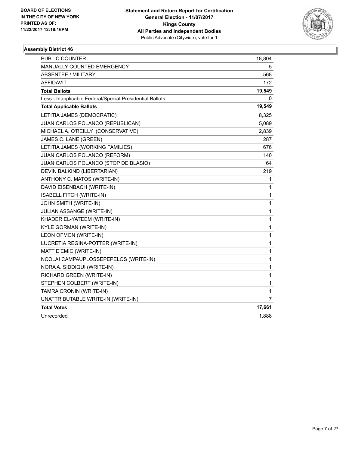

| PUBLIC COUNTER                                           | 18,804       |
|----------------------------------------------------------|--------------|
| MANUALLY COUNTED EMERGENCY                               | 5            |
| <b>ABSENTEE / MILITARY</b>                               | 568          |
| AFFIDAVIT                                                | 172          |
| <b>Total Ballots</b>                                     | 19,549       |
| Less - Inapplicable Federal/Special Presidential Ballots | 0            |
| <b>Total Applicable Ballots</b>                          | 19,549       |
| LETITIA JAMES (DEMOCRATIC)                               | 8,325        |
| JUAN CARLOS POLANCO (REPUBLICAN)                         | 5,089        |
| MICHAEL A. O'REILLY (CONSERVATIVE)                       | 2,839        |
| JAMES C. LANE (GREEN)                                    | 287          |
| LETITIA JAMES (WORKING FAMILIES)                         | 676          |
| JUAN CARLOS POLANCO (REFORM)                             | 140          |
| JUAN CARLOS POLANCO (STOP DE BLASIO)                     | 64           |
| DEVIN BALKIND (LIBERTARIAN)                              | 219          |
| ANTHONY C. MATOS (WRITE-IN)                              | 1            |
| DAVID EISENBACH (WRITE-IN)                               | 1            |
| ISABELL FITCH (WRITE-IN)                                 | 1            |
| JOHN SMITH (WRITE-IN)                                    | 1            |
| JULIAN ASSANGE (WRITE-IN)                                | 1            |
| KHADER EL-YATEEM (WRITE-IN)                              | 1            |
| KYLE GORMAN (WRITE-IN)                                   | 1            |
| LEON OFMON (WRITE-IN)                                    | 1            |
| LUCRETIA REGINA-POTTER (WRITE-IN)                        | $\mathbf{1}$ |
| MATT D'EMIC (WRITE-IN)                                   | 1            |
| NCOLAI CAMPAUPLOSSEPEPELOS (WRITE-IN)                    | 1            |
| NORA A. SIDDIQUI (WRITE-IN)                              | 1            |
| RICHARD GREEN (WRITE-IN)                                 | 1            |
| STEPHEN COLBERT (WRITE-IN)                               | 1            |
| TAMRA CRONIN (WRITE-IN)                                  | 1            |
| UNATTRIBUTABLE WRITE-IN (WRITE-IN)                       | 7            |
| <b>Total Votes</b>                                       | 17,661       |
| Unrecorded                                               | 1,888        |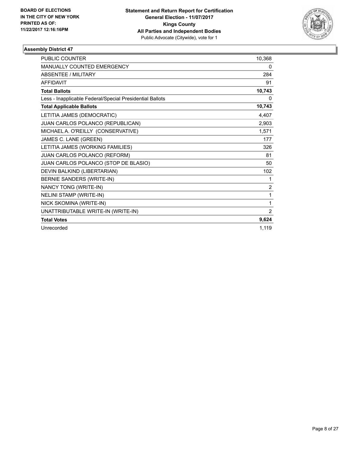

| <b>PUBLIC COUNTER</b>                                    | 10,368         |
|----------------------------------------------------------|----------------|
| <b>MANUALLY COUNTED EMERGENCY</b>                        | 0              |
| <b>ABSENTEE / MILITARY</b>                               | 284            |
| <b>AFFIDAVIT</b>                                         | 91             |
| <b>Total Ballots</b>                                     | 10,743         |
| Less - Inapplicable Federal/Special Presidential Ballots | 0              |
| <b>Total Applicable Ballots</b>                          | 10,743         |
| LETITIA JAMES (DEMOCRATIC)                               | 4,407          |
| JUAN CARLOS POLANCO (REPUBLICAN)                         | 2,903          |
| MICHAEL A. O'REILLY (CONSERVATIVE)                       | 1,571          |
| JAMES C. LANE (GREEN)                                    | 177            |
| LETITIA JAMES (WORKING FAMILIES)                         | 326            |
| JUAN CARLOS POLANCO (REFORM)                             | 81             |
| JUAN CARLOS POLANCO (STOP DE BLASIO)                     | 50             |
| DEVIN BALKIND (LIBERTARIAN)                              | 102            |
| BERNIE SANDERS (WRITE-IN)                                | 1              |
| NANCY TONG (WRITE-IN)                                    | $\overline{2}$ |
| <b>NELINI STAMP (WRITE-IN)</b>                           | 1              |
| NICK SKOMINA (WRITE-IN)                                  | 1              |
| UNATTRIBUTABLE WRITE-IN (WRITE-IN)                       | $\overline{2}$ |
| <b>Total Votes</b>                                       | 9,624          |
| Unrecorded                                               | 1,119          |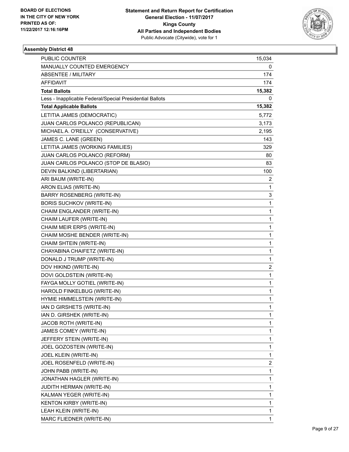

| PUBLIC COUNTER                                           | 15,034         |
|----------------------------------------------------------|----------------|
| MANUALLY COUNTED EMERGENCY                               | 0              |
| <b>ABSENTEE / MILITARY</b>                               | 174            |
| AFFIDAVIT                                                | 174            |
| <b>Total Ballots</b>                                     | 15,382         |
| Less - Inapplicable Federal/Special Presidential Ballots | 0              |
| <b>Total Applicable Ballots</b>                          | 15,382         |
| LETITIA JAMES (DEMOCRATIC)                               | 5,772          |
| JUAN CARLOS POLANCO (REPUBLICAN)                         | 3,173          |
| MICHAEL A. O'REILLY (CONSERVATIVE)                       | 2,195          |
| JAMES C. LANE (GREEN)                                    | 143            |
| LETITIA JAMES (WORKING FAMILIES)                         | 329            |
| JUAN CARLOS POLANCO (REFORM)                             | 80             |
| JUAN CARLOS POLANCO (STOP DE BLASIO)                     | 83             |
| DEVIN BALKIND (LIBERTARIAN)                              | 100            |
| ARI BAUM (WRITE-IN)                                      | $\overline{2}$ |
| ARON ELIAS (WRITE-IN)                                    | 1              |
| <b>BARRY ROSENBERG (WRITE-IN)</b>                        | 3              |
| <b>BORIS SUCHKOV (WRITE-IN)</b>                          | 1              |
| CHAIM ENGLANDER (WRITE-IN)                               | 1              |
| CHAIM LAUFER (WRITE-IN)                                  | 1              |
| CHAIM MEIR ERPS (WRITE-IN)                               | 1              |
| CHAIM MOSHE BENDER (WRITE-IN)                            | 1              |
| CHAIM SHTEIN (WRITE-IN)                                  | 1              |
| CHAYABINA CHAIFETZ (WRITE-IN)                            | 1              |
| DONALD J TRUMP (WRITE-IN)                                | 1              |
| DOV HIKIND (WRITE-IN)                                    | 2              |
| DOVI GOLDSTEIN (WRITE-IN)                                | 1              |
| FAYGA MOLLY GOTIEL (WRITE-IN)                            | 1              |
| HAROLD FINKELBUG (WRITE-IN)                              | 1              |
| HYMIE HIMMELSTEIN (WRITE-IN)                             | 1              |
| IAN D GIRSHETS (WRITE-IN)                                | $\mathbf{1}$   |
| IAN D. GIRSHEK (WRITE-IN)                                | 1              |
| JACOB ROTH (WRITE-IN)                                    | 1              |
| JAMES COMEY (WRITE-IN)                                   | 1              |
| JEFFERY STEIN (WRITE-IN)                                 | 1              |
| JOEL GOZOSTEIN (WRITE-IN)                                | 1              |
| JOEL KLEIN (WRITE-IN)                                    | 1              |
| JOEL ROSENFELD (WRITE-IN)                                | 2              |
| JOHN PABB (WRITE-IN)                                     | 1              |
| JONATHAN HAGLER (WRITE-IN)                               | 1              |
| JUDITH HERMAN (WRITE-IN)                                 | 1              |
| KALMAN YEGER (WRITE-IN)                                  | 1              |
| KENTON KIRBY (WRITE-IN)                                  | 1              |
| LEAH KLEIN (WRITE-IN)                                    | 1              |
| MARC FLIEDNER (WRITE-IN)                                 | $\mathbf{1}$   |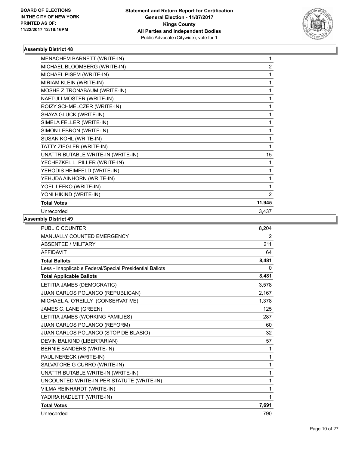

| MENACHEM BARNETT (WRITE-IN)        | 1              |
|------------------------------------|----------------|
| MICHAEL BLOOMBERG (WRITE-IN)       | $\overline{2}$ |
| MICHAEL PISEM (WRITE-IN)           | 1              |
| MIRIAM KLEIN (WRITE-IN)            | 1              |
| MOSHE ZITRONABAUM (WRITE-IN)       |                |
| NAFTULI MOSTER (WRITE-IN)          | 1              |
| ROIZY SCHMELCZER (WRITE-IN)        | 1              |
| SHAYA GLUCK (WRITE-IN)             | 1              |
| SIMELA FELLER (WRITE-IN)           | 1              |
| SIMON LEBRON (WRITE-IN)            | 1              |
| SUSAN KOHL (WRITE-IN)              | 1              |
| TATTY ZIEGLER (WRITE-IN)           | 1              |
| UNATTRIBUTABLE WRITE-IN (WRITE-IN) | 15             |
| YECHEZKEL L. PILLER (WRITE-IN)     |                |
| YEHODIS HEIMFELD (WRITE-IN)        | 1              |
| YEHUDA AINHORN (WRITE-IN)          | 1              |
| YOEL LEFKO (WRITE-IN)              | 1              |
| YONI HIKIND (WRITE-IN)             | $\overline{2}$ |
| <b>Total Votes</b>                 | 11,945         |
| Unrecorded                         | 3,437          |
|                                    |                |

| PUBLIC COUNTER                                           | 8,204          |
|----------------------------------------------------------|----------------|
| <b>MANUALLY COUNTED EMERGENCY</b>                        | $\overline{2}$ |
| <b>ABSENTEE / MILITARY</b>                               | 211            |
| <b>AFFIDAVIT</b>                                         | 64             |
| <b>Total Ballots</b>                                     | 8,481          |
| Less - Inapplicable Federal/Special Presidential Ballots | 0              |
| <b>Total Applicable Ballots</b>                          | 8,481          |
| LETITIA JAMES (DEMOCRATIC)                               | 3,578          |
| JUAN CARLOS POLANCO (REPUBLICAN)                         | 2,167          |
| MICHAEL A. O'REILLY (CONSERVATIVE)                       | 1,378          |
| JAMES C. LANE (GREEN)                                    | 125            |
| LETITIA JAMES (WORKING FAMILIES)                         | 287            |
| JUAN CARLOS POLANCO (REFORM)                             | 60             |
| JUAN CARLOS POLANCO (STOP DE BLASIO)                     | 32             |
| DEVIN BALKIND (LIBERTARIAN)                              | 57             |
| BERNIE SANDERS (WRITE-IN)                                | 1              |
| PAUL NERECK (WRITE-IN)                                   | $\mathbf{1}$   |
| SALVATORE G CURRO (WRITE-IN)                             | 1              |
| UNATTRIBUTABLE WRITE-IN (WRITE-IN)                       | $\mathbf{1}$   |
| UNCOUNTED WRITE-IN PER STATUTE (WRITE-IN)                | 1              |
| VILMA REINHARDT (WRITE-IN)                               | $\mathbf{1}$   |
| YADIRA HADLETT (WRITE-IN)                                | 1              |
| <b>Total Votes</b>                                       | 7,691          |
| Unrecorded                                               | 790            |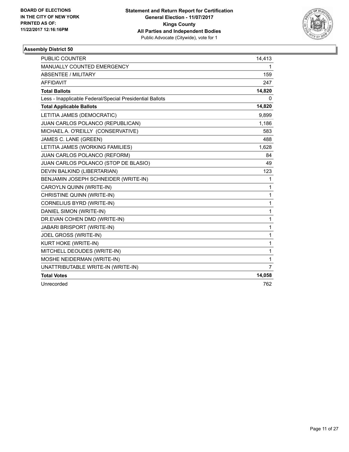

| <b>PUBLIC COUNTER</b>                                    | 14,413 |
|----------------------------------------------------------|--------|
| <b>MANUALLY COUNTED EMERGENCY</b>                        | 1      |
| ABSENTEE / MILITARY                                      | 159    |
| <b>AFFIDAVIT</b>                                         | 247    |
| <b>Total Ballots</b>                                     | 14,820 |
| Less - Inapplicable Federal/Special Presidential Ballots | 0      |
| <b>Total Applicable Ballots</b>                          | 14,820 |
| LETITIA JAMES (DEMOCRATIC)                               | 9,899  |
| JUAN CARLOS POLANCO (REPUBLICAN)                         | 1,186  |
| MICHAEL A. O'REILLY (CONSERVATIVE)                       | 583    |
| JAMES C. LANE (GREEN)                                    | 488    |
| LETITIA JAMES (WORKING FAMILIES)                         | 1,628  |
| JUAN CARLOS POLANCO (REFORM)                             | 84     |
| JUAN CARLOS POLANCO (STOP DE BLASIO)                     | 49     |
| DEVIN BALKIND (LIBERTARIAN)                              | 123    |
| BENJAMIN JOSEPH SCHNEIDER (WRITE-IN)                     | 1      |
| CAROYLN QUINN (WRITE-IN)                                 | 1      |
| CHRISTINE QUINN (WRITE-IN)                               | 1      |
| CORNELIUS BYRD (WRITE-IN)                                | 1      |
| DANIEL SIMON (WRITE-IN)                                  | 1      |
| DR.EVAN COHEN DMD (WRITE-IN)                             | 1      |
| <b>JABARI BRISPORT (WRITE-IN)</b>                        | 1      |
| JOEL GROSS (WRITE-IN)                                    | 1      |
| KURT HOKE (WRITE-IN)                                     | 1      |
| MITCHELL DEOUDES (WRITE-IN)                              | 1      |
| MOSHE NEIDERMAN (WRITE-IN)                               | 1      |
| UNATTRIBUTABLE WRITE-IN (WRITE-IN)                       | 7      |
| <b>Total Votes</b>                                       | 14,058 |
| Unrecorded                                               | 762    |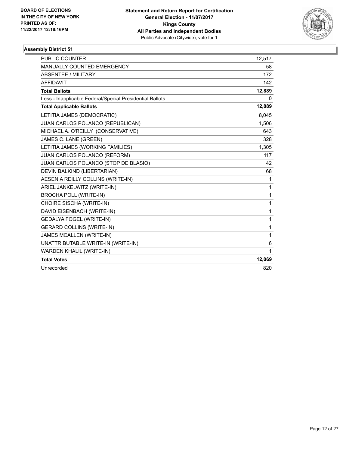

| PUBLIC COUNTER                                           | 12,517 |
|----------------------------------------------------------|--------|
| MANUALLY COUNTED EMERGENCY                               | 58     |
| <b>ABSENTEE / MILITARY</b>                               | 172    |
| <b>AFFIDAVIT</b>                                         | 142    |
| <b>Total Ballots</b>                                     | 12,889 |
| Less - Inapplicable Federal/Special Presidential Ballots | 0      |
| <b>Total Applicable Ballots</b>                          | 12,889 |
| LETITIA JAMES (DEMOCRATIC)                               | 8,045  |
| JUAN CARLOS POLANCO (REPUBLICAN)                         | 1,506  |
| MICHAEL A. O'REILLY (CONSERVATIVE)                       | 643    |
| JAMES C. LANE (GREEN)                                    | 328    |
| LETITIA JAMES (WORKING FAMILIES)                         | 1,305  |
| JUAN CARLOS POLANCO (REFORM)                             | 117    |
| JUAN CARLOS POLANCO (STOP DE BLASIO)                     | 42     |
| DEVIN BALKIND (LIBERTARIAN)                              | 68     |
| AESENIA REILLY COLLINS (WRITE-IN)                        | 1      |
| ARIEL JANKELWITZ (WRITE-IN)                              | 1      |
| <b>BROCHA POLL (WRITE-IN)</b>                            | 1      |
| CHOIRE SISCHA (WRITE-IN)                                 | 1      |
| DAVID EISENBACH (WRITE-IN)                               | 1      |
| <b>GEDALYA FOGEL (WRITE-IN)</b>                          | 1      |
| <b>GERARD COLLINS (WRITE-IN)</b>                         | 1      |
| JAMES MCALLEN (WRITE-IN)                                 | 1      |
| UNATTRIBUTABLE WRITE-IN (WRITE-IN)                       | 6      |
| WARDEN KHALIL (WRITE-IN)                                 | 1      |
| <b>Total Votes</b>                                       | 12,069 |
| Unrecorded                                               | 820    |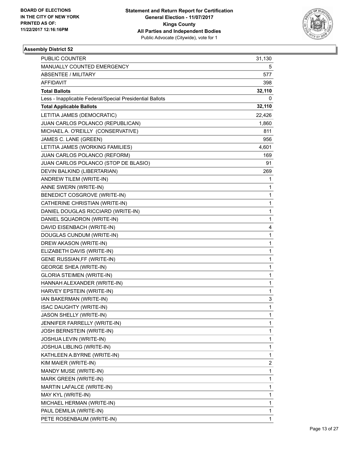

| <b>PUBLIC COUNTER</b>                                    | 31,130 |
|----------------------------------------------------------|--------|
| MANUALLY COUNTED EMERGENCY                               | 5      |
| <b>ABSENTEE / MILITARY</b>                               | 577    |
| AFFIDAVIT                                                | 398    |
| <b>Total Ballots</b>                                     | 32,110 |
| Less - Inapplicable Federal/Special Presidential Ballots | 0      |
| <b>Total Applicable Ballots</b>                          | 32,110 |
| LETITIA JAMES (DEMOCRATIC)                               | 22,426 |
| JUAN CARLOS POLANCO (REPUBLICAN)                         | 1,860  |
| MICHAEL A. O'REILLY (CONSERVATIVE)                       | 811    |
| JAMES C. LANE (GREEN)                                    | 956    |
| LETITIA JAMES (WORKING FAMILIES)                         | 4,601  |
| JUAN CARLOS POLANCO (REFORM)                             | 169    |
| JUAN CARLOS POLANCO (STOP DE BLASIO)                     | 91     |
| DEVIN BALKIND (LIBERTARIAN)                              | 269    |
| ANDREW TILEM (WRITE-IN)                                  | 1      |
| ANNE SWERN (WRITE-IN)                                    | 1      |
| BENEDICT COSGROVE (WRITE-IN)                             | 1      |
| CATHERINE CHRISTIAN (WRITE-IN)                           | 1      |
| DANIEL DOUGLAS RICCIARD (WRITE-IN)                       | 1      |
| DANIEL SQUADRON (WRITE-IN)                               | 1      |
| DAVID EISENBACH (WRITE-IN)                               | 4      |
| DOUGLAS CUNDUM (WRITE-IN)                                | 1      |
| DREW AKASON (WRITE-IN)                                   | 1      |
| ELIZABETH DAVIS (WRITE-IN)                               | 1      |
| GENE RUSSIAN, FF (WRITE-IN)                              | 1      |
| <b>GEORGE SHEA (WRITE-IN)</b>                            | 1      |
| <b>GLORIA STEIMEN (WRITE-IN)</b>                         | 1      |
| HANNAH ALEXANDER (WRITE-IN)                              | 1      |
| HARVEY EPSTEIN (WRITE-IN)                                | 1      |
| IAN BAKERMAN (WRITE-IN)                                  | 3      |
| <b>ISAC DAUGHTY (WRITE-IN)</b>                           | 1      |
| JASON SHELLY (WRITE-IN)                                  | 1      |
| JENNIFER FARRELLY (WRITE-IN)                             | 1      |
| JOSH BERNSTEIN (WRITE-IN)                                | 1      |
| JOSHUA LEVIN (WRITE-IN)                                  | 1      |
| JOSHUA LIBLING (WRITE-IN)                                | 1      |
| KATHLEEN A.BYRNE (WRITE-IN)                              | 1      |
| KIM MAIER (WRITE-IN)                                     | 2      |
| MANDY MUSE (WRITE-IN)                                    | 1      |
| MARK GREEN (WRITE-IN)                                    | 1      |
| MARTIN LAFALCE (WRITE-IN)                                | 1      |
| MAY KYL (WRITE-IN)                                       | 1      |
| MICHAEL HERMAN (WRITE-IN)                                | 1      |
| PAUL DEMILIA (WRITE-IN)                                  | 1      |
| PETE ROSENBAUM (WRITE-IN)                                | 1      |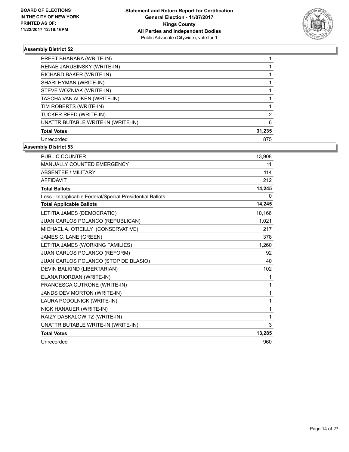

| PREET BHARARA (WRITE-IN)           |        |
|------------------------------------|--------|
| RENAE JARUSINSKY (WRITE-IN)        |        |
| RICHARD BAKER (WRITE-IN)           |        |
| SHARI HYMAN (WRITE-IN)             |        |
| STEVE WOZNIAK (WRITE-IN)           |        |
| TASCHA VAN AUKEN (WRITE-IN)        |        |
| TIM ROBERTS (WRITE-IN)             |        |
| TUCKER REED (WRITE-IN)             | 2      |
| UNATTRIBUTABLE WRITE-IN (WRITE-IN) | 6      |
| <b>Total Votes</b>                 | 31,235 |
| Unrecorded                         | 875    |

| PUBLIC COUNTER                                           | 13,908   |
|----------------------------------------------------------|----------|
| MANUALLY COUNTED EMERGENCY                               | 11       |
| <b>ABSENTEE / MILITARY</b>                               | 114      |
| <b>AFFIDAVIT</b>                                         | 212      |
| <b>Total Ballots</b>                                     | 14,245   |
| Less - Inapplicable Federal/Special Presidential Ballots | $\Omega$ |
| <b>Total Applicable Ballots</b>                          | 14,245   |
| LETITIA JAMES (DEMOCRATIC)                               | 10,166   |
| JUAN CARLOS POLANCO (REPUBLICAN)                         | 1,021    |
| MICHAEL A. O'REILLY (CONSERVATIVE)                       | 217      |
| JAMES C. LANE (GREEN)                                    | 378      |
| LETITIA JAMES (WORKING FAMILIES)                         | 1,260    |
| JUAN CARLOS POLANCO (REFORM)                             | 92       |
| JUAN CARLOS POLANCO (STOP DE BLASIO)                     | 40       |
| DEVIN BALKIND (LIBERTARIAN)                              | 102      |
| ELANA RIORDAN (WRITE-IN)                                 | 1        |
| FRANCESCA CUTRONE (WRITE-IN)                             | 1        |
| JANDS DEV MORTON (WRITE-IN)                              | 1        |
| LAURA PODOLNICK (WRITE-IN)                               | 1        |
| NICK HANAUER (WRITE-IN)                                  | 1        |
| RAIZY DASKALOWITZ (WRITE-IN)                             | 1        |
| UNATTRIBUTABLE WRITE-IN (WRITE-IN)                       | 3        |
| <b>Total Votes</b>                                       | 13,285   |
| Unrecorded                                               | 960      |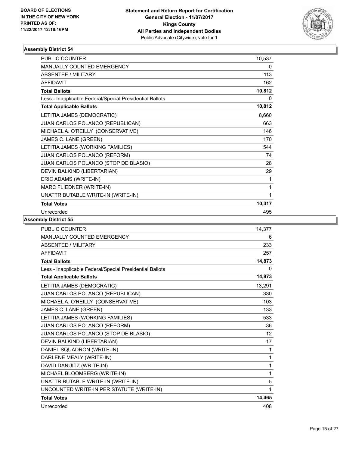

| <b>PUBLIC COUNTER</b>                                    | 10,537 |
|----------------------------------------------------------|--------|
| <b>MANUALLY COUNTED EMERGENCY</b>                        | 0      |
| <b>ABSENTEE / MILITARY</b>                               | 113    |
| <b>AFFIDAVIT</b>                                         | 162    |
| <b>Total Ballots</b>                                     | 10,812 |
| Less - Inapplicable Federal/Special Presidential Ballots | 0      |
| <b>Total Applicable Ballots</b>                          | 10,812 |
| LETITIA JAMES (DEMOCRATIC)                               | 8,660  |
| JUAN CARLOS POLANCO (REPUBLICAN)                         | 663    |
| MICHAEL A. O'REILLY (CONSERVATIVE)                       | 146    |
| JAMES C. LANE (GREEN)                                    | 170    |
| LETITIA JAMES (WORKING FAMILIES)                         | 544    |
| JUAN CARLOS POLANCO (REFORM)                             | 74     |
| JUAN CARLOS POLANCO (STOP DE BLASIO)                     | 28     |
| DEVIN BALKIND (LIBERTARIAN)                              | 29     |
| ERIC ADAMS (WRITE-IN)                                    | 1      |
| MARC FLIEDNER (WRITE-IN)                                 | 1      |
| UNATTRIBUTABLE WRITE-IN (WRITE-IN)                       | 1      |
| <b>Total Votes</b>                                       | 10,317 |
| Unrecorded                                               | 495    |

| <b>PUBLIC COUNTER</b>                                    | 14.377 |
|----------------------------------------------------------|--------|
| <b>MANUALLY COUNTED EMERGENCY</b>                        | 6      |
| <b>ABSENTEE / MILITARY</b>                               | 233    |
| <b>AFFIDAVIT</b>                                         | 257    |
| <b>Total Ballots</b>                                     | 14,873 |
| Less - Inapplicable Federal/Special Presidential Ballots | 0      |
| <b>Total Applicable Ballots</b>                          | 14,873 |
| LETITIA JAMES (DEMOCRATIC)                               | 13,291 |
| JUAN CARLOS POLANCO (REPUBLICAN)                         | 330    |
| MICHAEL A. O'REILLY (CONSERVATIVE)                       | 103    |
| JAMES C. LANE (GREEN)                                    | 133    |
| LETITIA JAMES (WORKING FAMILIES)                         | 533    |
| JUAN CARLOS POLANCO (REFORM)                             | 36     |
| JUAN CARLOS POLANCO (STOP DE BLASIO)                     | 12     |
| DEVIN BALKIND (LIBERTARIAN)                              | 17     |
| DANIEL SQUADRON (WRITE-IN)                               | 1      |
| DARLENE MEALY (WRITE-IN)                                 | 1      |
| DAVID DANUITZ (WRITE-IN)                                 | 1      |
| MICHAEL BLOOMBERG (WRITE-IN)                             | 1      |
| UNATTRIBUTABLE WRITE-IN (WRITE-IN)                       | 5      |
| UNCOUNTED WRITE-IN PER STATUTE (WRITE-IN)                | 1      |
| <b>Total Votes</b>                                       | 14,465 |
| Unrecorded                                               | 408    |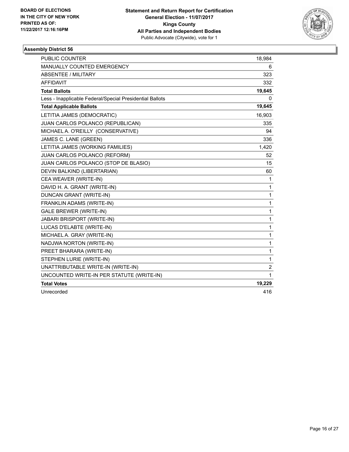

| <b>PUBLIC COUNTER</b>                                    | 18,984       |
|----------------------------------------------------------|--------------|
| <b>MANUALLY COUNTED EMERGENCY</b>                        | 6            |
| ABSENTEE / MILITARY                                      | 323          |
| <b>AFFIDAVIT</b>                                         | 332          |
| <b>Total Ballots</b>                                     | 19,645       |
| Less - Inapplicable Federal/Special Presidential Ballots | 0            |
| <b>Total Applicable Ballots</b>                          | 19,645       |
| LETITIA JAMES (DEMOCRATIC)                               | 16,903       |
| JUAN CARLOS POLANCO (REPUBLICAN)                         | 335          |
| MICHAEL A. O'REILLY (CONSERVATIVE)                       | 94           |
| JAMES C. LANE (GREEN)                                    | 336          |
| LETITIA JAMES (WORKING FAMILIES)                         | 1,420        |
| JUAN CARLOS POLANCO (REFORM)                             | 52           |
| JUAN CARLOS POLANCO (STOP DE BLASIO)                     | 15           |
| DEVIN BALKIND (LIBERTARIAN)                              | 60           |
| CEA WEAVER (WRITE-IN)                                    | 1            |
| DAVID H. A. GRANT (WRITE-IN)                             | 1            |
| DUNCAN GRANT (WRITE-IN)                                  | 1            |
| FRANKLIN ADAMS (WRITE-IN)                                | 1            |
| <b>GALE BREWER (WRITE-IN)</b>                            | $\mathbf{1}$ |
| JABARI BRISPORT (WRITE-IN)                               | 1            |
| LUCAS D'ELABTE (WRITE-IN)                                | 1            |
| MICHAEL A. GRAY (WRITE-IN)                               | 1            |
| NADJWA NORTON (WRITE-IN)                                 | 1            |
| PREET BHARARA (WRITE-IN)                                 | 1            |
| STEPHEN LURIE (WRITE-IN)                                 | 1            |
| UNATTRIBUTABLE WRITE-IN (WRITE-IN)                       | 2            |
| UNCOUNTED WRITE-IN PER STATUTE (WRITE-IN)                | 1            |
| <b>Total Votes</b>                                       | 19,229       |
| Unrecorded                                               | 416          |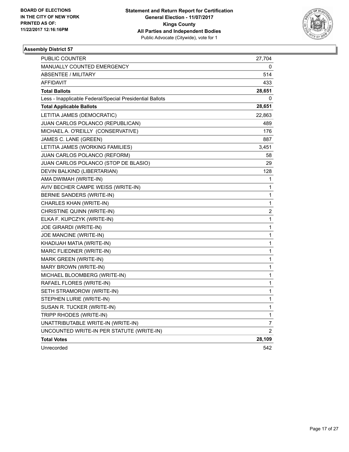

| <b>PUBLIC COUNTER</b>                                    | 27,704         |
|----------------------------------------------------------|----------------|
| <b>MANUALLY COUNTED EMERGENCY</b>                        | 0              |
| <b>ABSENTEE / MILITARY</b>                               | 514            |
| <b>AFFIDAVIT</b>                                         | 433            |
| <b>Total Ballots</b>                                     | 28,651         |
| Less - Inapplicable Federal/Special Presidential Ballots | 0              |
| <b>Total Applicable Ballots</b>                          | 28,651         |
| LETITIA JAMES (DEMOCRATIC)                               | 22,863         |
| JUAN CARLOS POLANCO (REPUBLICAN)                         | 489            |
| MICHAEL A. O'REILLY (CONSERVATIVE)                       | 176            |
| JAMES C. LANE (GREEN)                                    | 887            |
| LETITIA JAMES (WORKING FAMILIES)                         | 3,451          |
| <b>JUAN CARLOS POLANCO (REFORM)</b>                      | 58             |
| JUAN CARLOS POLANCO (STOP DE BLASIO)                     | 29             |
| DEVIN BALKIND (LIBERTARIAN)                              | 128            |
| AMA DWIMAH (WRITE-IN)                                    | 1              |
| AVIV BECHER CAMPE WEISS (WRITE-IN)                       | 1              |
| BERNIE SANDERS (WRITE-IN)                                | 1              |
| CHARLES KHAN (WRITE-IN)                                  | 1              |
| CHRISTINE QUINN (WRITE-IN)                               | 2              |
| ELKA F. KUPCZYK (WRITE-IN)                               | 1              |
| JOE GIRARDI (WRITE-IN)                                   | 1              |
| JOE MANCINE (WRITE-IN)                                   | 1              |
| KHADIJAH MATIA (WRITE-IN)                                | 1              |
| MARC FLIEDNER (WRITE-IN)                                 | 1              |
| MARK GREEN (WRITE-IN)                                    | 1              |
| MARY BROWN (WRITE-IN)                                    | 1              |
| MICHAEL BLOOMBERG (WRITE-IN)                             | 1              |
| RAFAEL FLORES (WRITE-IN)                                 | 1              |
| SETH STRAMOROW (WRITE-IN)                                | 1              |
| STEPHEN LURIE (WRITE-IN)                                 | 1              |
| SUSAN R. TUCKER (WRITE-IN)                               | 1              |
| TRIPP RHODES (WRITE-IN)                                  | 1              |
| UNATTRIBUTABLE WRITE-IN (WRITE-IN)                       | 7              |
| UNCOUNTED WRITE-IN PER STATUTE (WRITE-IN)                | $\overline{2}$ |
| <b>Total Votes</b>                                       | 28,109         |
| Unrecorded                                               | 542            |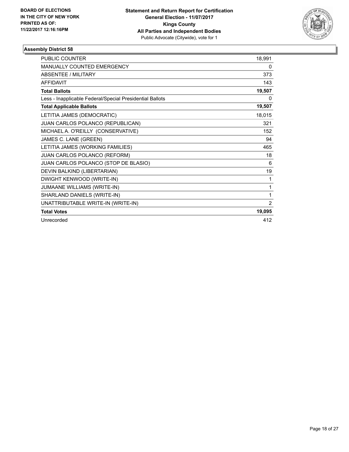

| <b>PUBLIC COUNTER</b>                                    | 18,991 |
|----------------------------------------------------------|--------|
| <b>MANUALLY COUNTED EMERGENCY</b>                        | 0      |
| <b>ABSENTEE / MILITARY</b>                               | 373    |
| <b>AFFIDAVIT</b>                                         | 143    |
| <b>Total Ballots</b>                                     | 19,507 |
| Less - Inapplicable Federal/Special Presidential Ballots | 0      |
| <b>Total Applicable Ballots</b>                          | 19,507 |
| LETITIA JAMES (DEMOCRATIC)                               | 18,015 |
| JUAN CARLOS POLANCO (REPUBLICAN)                         | 321    |
| MICHAEL A. O'REILLY (CONSERVATIVE)                       | 152    |
| JAMES C. LANE (GREEN)                                    | 94     |
| LETITIA JAMES (WORKING FAMILIES)                         | 465    |
| JUAN CARLOS POLANCO (REFORM)                             | 18     |
| JUAN CARLOS POLANCO (STOP DE BLASIO)                     | 6      |
| DEVIN BALKIND (LIBERTARIAN)                              | 19     |
| DWIGHT KENWOOD (WRITE-IN)                                | 1      |
| JUMAANE WILLIAMS (WRITE-IN)                              | 1      |
| SHARLAND DANIELS (WRITE-IN)                              | 1      |
| UNATTRIBUTABLE WRITE-IN (WRITE-IN)                       | 2      |
| <b>Total Votes</b>                                       | 19,095 |
| Unrecorded                                               | 412    |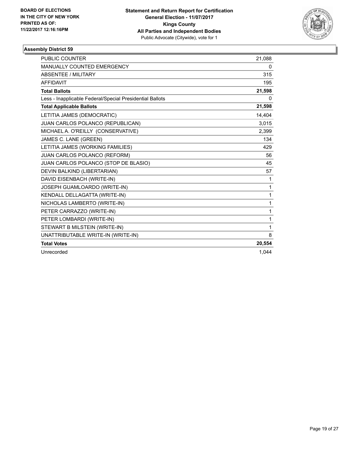

| PUBLIC COUNTER                                           | 21,088 |
|----------------------------------------------------------|--------|
| MANUALLY COUNTED EMERGENCY                               | 0      |
| <b>ABSENTEE / MILITARY</b>                               | 315    |
| <b>AFFIDAVIT</b>                                         | 195    |
| <b>Total Ballots</b>                                     | 21,598 |
| Less - Inapplicable Federal/Special Presidential Ballots | 0      |
| <b>Total Applicable Ballots</b>                          | 21,598 |
| LETITIA JAMES (DEMOCRATIC)                               | 14,404 |
| JUAN CARLOS POLANCO (REPUBLICAN)                         | 3,015  |
| MICHAEL A. O'REILLY (CONSERVATIVE)                       | 2,399  |
| JAMES C. LANE (GREEN)                                    | 134    |
| LETITIA JAMES (WORKING FAMILIES)                         | 429    |
| JUAN CARLOS POLANCO (REFORM)                             | 56     |
| JUAN CARLOS POLANCO (STOP DE BLASIO)                     | 45     |
| DEVIN BALKIND (LIBERTARIAN)                              | 57     |
| DAVID EISENBACH (WRITE-IN)                               | 1      |
| JOSEPH GUAMLOARDO (WRITE-IN)                             | 1      |
| KENDALL DELLAGATTA (WRITE-IN)                            | 1      |
| NICHOLAS LAMBERTO (WRITE-IN)                             | 1      |
| PETER CARRAZZO (WRITE-IN)                                | 1      |
| PETER LOMBARDI (WRITE-IN)                                | 1      |
| STEWART B MILSTEIN (WRITE-IN)                            | 1      |
| UNATTRIBUTABLE WRITE-IN (WRITE-IN)                       | 8      |
| <b>Total Votes</b>                                       | 20,554 |
| Unrecorded                                               | 1,044  |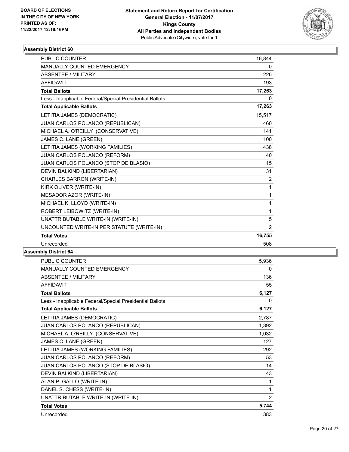

| <b>PUBLIC COUNTER</b>                                    | 16,844         |
|----------------------------------------------------------|----------------|
| MANUALLY COUNTED EMERGENCY                               | 0              |
| <b>ABSENTEE / MILITARY</b>                               | 226            |
| <b>AFFIDAVIT</b>                                         | 193            |
| <b>Total Ballots</b>                                     | 17,263         |
| Less - Inapplicable Federal/Special Presidential Ballots | 0              |
| <b>Total Applicable Ballots</b>                          | 17,263         |
| LETITIA JAMES (DEMOCRATIC)                               | 15,517         |
| JUAN CARLOS POLANCO (REPUBLICAN)                         | 460            |
| MICHAEL A. O'REILLY (CONSERVATIVE)                       | 141            |
| JAMES C. LANE (GREEN)                                    | 100            |
| LETITIA JAMES (WORKING FAMILIES)                         | 438            |
| JUAN CARLOS POLANCO (REFORM)                             | 40             |
| JUAN CARLOS POLANCO (STOP DE BLASIO)                     | 15             |
| DEVIN BALKIND (LIBERTARIAN)                              | 31             |
| CHARLES BARRON (WRITE-IN)                                | $\overline{2}$ |
| KIRK OLIVER (WRITE-IN)                                   | 1              |
| MESADOR AZOR (WRITE-IN)                                  | 1              |
| MICHAEL K. LLOYD (WRITE-IN)                              | 1              |
| ROBERT LEIBOWITZ (WRITE-IN)                              | 1              |
| UNATTRIBUTABLE WRITE-IN (WRITE-IN)                       | 5              |
| UNCOUNTED WRITE-IN PER STATUTE (WRITE-IN)                | 2              |
| <b>Total Votes</b>                                       | 16,755         |
| Unrecorded                                               | 508            |

| PUBLIC COUNTER                                           | 5,936 |
|----------------------------------------------------------|-------|
| MANUALLY COUNTED EMERGENCY                               | 0     |
| <b>ABSENTEE / MILITARY</b>                               | 136   |
| <b>AFFIDAVIT</b>                                         | 55    |
| <b>Total Ballots</b>                                     | 6,127 |
| Less - Inapplicable Federal/Special Presidential Ballots | 0     |
| <b>Total Applicable Ballots</b>                          | 6,127 |
| LETITIA JAMES (DEMOCRATIC)                               | 2,787 |
| JUAN CARLOS POLANCO (REPUBLICAN)                         | 1,392 |
| MICHAEL A. O'REILLY (CONSERVATIVE)                       | 1,032 |
| JAMES C. LANE (GREEN)                                    | 127   |
| LETITIA JAMES (WORKING FAMILIES)                         | 292   |
| JUAN CARLOS POLANCO (REFORM)                             | 53    |
| JUAN CARLOS POLANCO (STOP DE BLASIO)                     | 14    |
| DEVIN BALKIND (LIBERTARIAN)                              | 43    |
| ALAN P. GALLO (WRITE-IN)                                 | 1     |
| DANEL S. CHESS (WRITE-IN)                                | 1     |
| UNATTRIBUTABLE WRITE-IN (WRITE-IN)                       | 2     |
| <b>Total Votes</b>                                       | 5,744 |
| Unrecorded                                               | 383   |
|                                                          |       |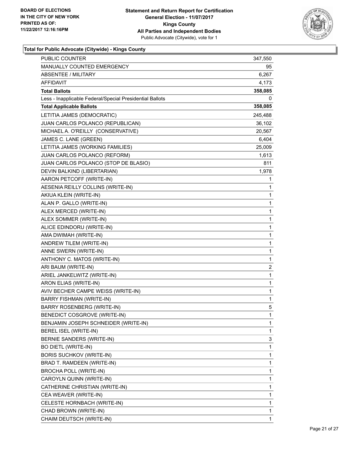

| PUBLIC COUNTER                                           | 347,550      |
|----------------------------------------------------------|--------------|
| MANUALLY COUNTED EMERGENCY                               | 95           |
| ABSENTEE / MILITARY                                      | 6,267        |
| AFFIDAVIT                                                | 4,173        |
| <b>Total Ballots</b>                                     | 358,085      |
| Less - Inapplicable Federal/Special Presidential Ballots | 0            |
| <b>Total Applicable Ballots</b>                          | 358,085      |
| LETITIA JAMES (DEMOCRATIC)                               | 245,488      |
| JUAN CARLOS POLANCO (REPUBLICAN)                         | 36,102       |
| MICHAEL A. O'REILLY (CONSERVATIVE)                       | 20,567       |
| JAMES C. LANE (GREEN)                                    | 6,404        |
| LETITIA JAMES (WORKING FAMILIES)                         | 25,009       |
| JUAN CARLOS POLANCO (REFORM)                             | 1,613        |
| JUAN CARLOS POLANCO (STOP DE BLASIO)                     | 811          |
| DEVIN BALKIND (LIBERTARIAN)                              | 1,978        |
| AARON PETCOFF (WRITE-IN)                                 | 1            |
| AESENIA REILLY COLLINS (WRITE-IN)                        | 1            |
| AKIUA KLEIN (WRITE-IN)                                   | 1            |
| ALAN P. GALLO (WRITE-IN)                                 | 1            |
| ALEX MERCED (WRITE-IN)                                   | 1            |
| ALEX SOMMER (WRITE-IN)                                   | 1            |
| ALICE EDINDORU (WRITE-IN)                                | 1            |
| AMA DWIMAH (WRITE-IN)                                    | 1            |
| ANDREW TILEM (WRITE-IN)                                  | 1            |
| ANNE SWERN (WRITE-IN)                                    | 1            |
| ANTHONY C. MATOS (WRITE-IN)                              | 1            |
| ARI BAUM (WRITE-IN)                                      | 2            |
| ARIEL JANKELWITZ (WRITE-IN)                              | $\mathbf{1}$ |
| ARON ELIAS (WRITE-IN)                                    | 1            |
| AVIV BECHER CAMPE WEISS (WRITE-IN)                       | 1            |
| <b>BARRY FISHMAN (WRITE-IN)</b>                          | 1            |
| <b>BARRY ROSENBERG (WRITE-IN)</b>                        | 5            |
| BENEDICT COSGROVE (WRITE-IN)                             | 1            |
| BENJAMIN JOSEPH SCHNEIDER (WRITE-IN)                     | 1            |
| BEREL ISEL (WRITE-IN)                                    | 1            |
| BERNIE SANDERS (WRITE-IN)                                | 3            |
| <b>BO DIETL (WRITE-IN)</b>                               | 1            |
| <b>BORIS SUCHKOV (WRITE-IN)</b>                          | 1            |
| BRAD T. RAMDEEN (WRITE-IN)                               | 1            |
| <b>BROCHA POLL (WRITE-IN)</b>                            | 1            |
| CAROYLN QUINN (WRITE-IN)                                 | 1            |
| CATHERINE CHRISTIAN (WRITE-IN)                           | 1            |
| CEA WEAVER (WRITE-IN)                                    | 1            |
| CELESTE HORNBACH (WRITE-IN)                              | 1            |
| CHAD BROWN (WRITE-IN)                                    | 1            |
| CHAIM DEUTSCH (WRITE-IN)                                 | 1            |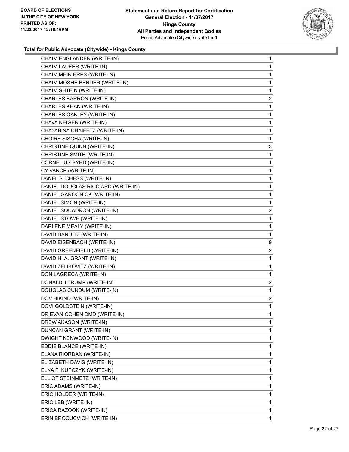

| CHAIM ENGLANDER (WRITE-IN)         | $\mathbf{1}$   |
|------------------------------------|----------------|
| CHAIM LAUFER (WRITE-IN)            | 1              |
| CHAIM MEIR ERPS (WRITE-IN)         | $\mathbf{1}$   |
| CHAIM MOSHE BENDER (WRITE-IN)      | 1              |
| CHAIM SHTEIN (WRITE-IN)            | 1              |
| CHARLES BARRON (WRITE-IN)          | $\overline{2}$ |
| CHARLES KHAN (WRITE-IN)            | 1              |
| CHARLES OAKLEY (WRITE-IN)          | $\mathbf{1}$   |
| CHAVA NEIGER (WRITE-IN)            | $\mathbf{1}$   |
| CHAYABINA CHAIFETZ (WRITE-IN)      | 1              |
| CHOIRE SISCHA (WRITE-IN)           | 1              |
| CHRISTINE QUINN (WRITE-IN)         | 3              |
| CHRISTINE SMITH (WRITE-IN)         | 1              |
| CORNELIUS BYRD (WRITE-IN)          | $\mathbf{1}$   |
| CY VANCE (WRITE-IN)                | $\mathbf{1}$   |
| DANEL S. CHESS (WRITE-IN)          | 1              |
| DANIEL DOUGLAS RICCIARD (WRITE-IN) | 1              |
| DANIEL GAROONICK (WRITE-IN)        | $\mathbf{1}$   |
| DANIEL SIMON (WRITE-IN)            | 1              |
| DANIEL SQUADRON (WRITE-IN)         | $\overline{c}$ |
| DANIEL STOWE (WRITE-IN)            | 1              |
| DARLENE MEALY (WRITE-IN)           | 1              |
| DAVID DANUITZ (WRITE-IN)           | $\mathbf{1}$   |
| DAVID EISENBACH (WRITE-IN)         | 9              |
| DAVID GREENFIELD (WRITE-IN)        | $\mathbf{2}$   |
| DAVID H. A. GRANT (WRITE-IN)       | $\mathbf{1}$   |
| DAVID ZELIKOVITZ (WRITE-IN)        | $\mathbf{1}$   |
| DON LAGRECA (WRITE-IN)             | 1              |
| DONALD J TRUMP (WRITE-IN)          | 2              |
| DOUGLAS CUNDUM (WRITE-IN)          | $\mathbf{1}$   |
| DOV HIKIND (WRITE-IN)              | $\overline{2}$ |
| DOVI GOLDSTEIN (WRITE-IN)          | $\mathbf{1}$   |
| DR.EVAN COHEN DMD (WRITE-IN)       | 1              |
| DREW AKASON (WRITE-IN)             | 1              |
| DUNCAN GRANT (WRITE-IN)            | 1              |
| DWIGHT KENWOOD (WRITE-IN)          | 1              |
| EDDIE BLANCE (WRITE-IN)            | 1              |
| ELANA RIORDAN (WRITE-IN)           | 1              |
| ELIZABETH DAVIS (WRITE-IN)         | 1              |
| ELKA F. KUPCZYK (WRITE-IN)         | 1              |
| ELLIOT STEINMETZ (WRITE-IN)        | 1              |
| ERIC ADAMS (WRITE-IN)              | 1              |
| ERIC HOLDER (WRITE-IN)             | 1              |
| ERIC LEB (WRITE-IN)                | 1              |
| ERICA RAZOOK (WRITE-IN)            | $\mathbf{1}$   |
| ERIN BROCUCVICH (WRITE-IN)         | 1              |
|                                    |                |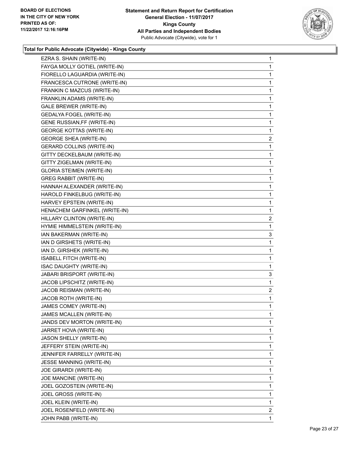

| EZRA S. SHAIN (WRITE-IN)           | 1              |
|------------------------------------|----------------|
| FAYGA MOLLY GOTIEL (WRITE-IN)      | 1              |
| FIORELLO LAGUARDIA (WRITE-IN)      | 1              |
| FRANCESCA CUTRONE (WRITE-IN)       | 1              |
| FRANKIN C MAZCUS (WRITE-IN)        | 1              |
| FRANKLIN ADAMS (WRITE-IN)          | $\mathbf{1}$   |
| <b>GALE BREWER (WRITE-IN)</b>      | 1              |
| <b>GEDALYA FOGEL (WRITE-IN)</b>    | 1              |
| <b>GENE RUSSIAN, FF (WRITE-IN)</b> | 1              |
| <b>GEORGE KOTTAS (WRITE-IN)</b>    | 1              |
| <b>GEORGE SHEA (WRITE-IN)</b>      | 2              |
| <b>GERARD COLLINS (WRITE-IN)</b>   | 1              |
| GITTY DECKELBAUM (WRITE-IN)        | 1              |
| GITTY ZIGELMAN (WRITE-IN)          | 1              |
| <b>GLORIA STEIMEN (WRITE-IN)</b>   | 1              |
| <b>GREG RABBIT (WRITE-IN)</b>      | 1              |
| HANNAH ALEXANDER (WRITE-IN)        | 1              |
| HAROLD FINKELBUG (WRITE-IN)        | 1              |
| HARVEY EPSTEIN (WRITE-IN)          | 1              |
| HENACHEM GARFINKEL (WRITE-IN)      | 1              |
| HILLARY CLINTON (WRITE-IN)         | 2              |
| HYMIE HIMMELSTEIN (WRITE-IN)       | 1              |
| IAN BAKERMAN (WRITE-IN)            | 3              |
| IAN D GIRSHETS (WRITE-IN)          | 1              |
| IAN D. GIRSHEK (WRITE-IN)          | 1              |
| ISABELL FITCH (WRITE-IN)           | 1              |
| ISAC DAUGHTY (WRITE-IN)            | 1              |
| JABARI BRISPORT (WRITE-IN)         | 3              |
| JACOB LIPSCHITZ (WRITE-IN)         | 1              |
| JACOB REISMAN (WRITE-IN)           | 2              |
| JACOB ROTH (WRITE-IN)              | 1              |
| JAMES COMEY (WRITE-IN)             | 1              |
| JAMES MCALLEN (WRITE-IN)           | 1              |
| JANDS DEV MORTON (WRITE-IN)        | 1              |
| JARRET HOVA (WRITE-IN)             | 1              |
| JASON SHELLY (WRITE-IN)            | 1              |
| JEFFERY STEIN (WRITE-IN)           | 1              |
| JENNIFER FARRELLY (WRITE-IN)       | 1              |
| JESSE MANNING (WRITE-IN)           | 1              |
| JOE GIRARDI (WRITE-IN)             | 1              |
| JOE MANCINE (WRITE-IN)             | 1              |
| JOEL GOZOSTEIN (WRITE-IN)          | 1              |
| JOEL GROSS (WRITE-IN)              | 1              |
| JOEL KLEIN (WRITE-IN)              | 1              |
| JOEL ROSENFELD (WRITE-IN)          | $\overline{2}$ |
| JOHN PABB (WRITE-IN)               | 1              |
|                                    |                |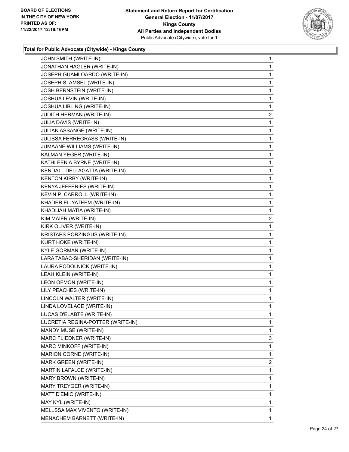

| JOHN SMITH (WRITE-IN)             | 1              |
|-----------------------------------|----------------|
| JONATHAN HAGLER (WRITE-IN)        | 1              |
| JOSEPH GUAMLOARDO (WRITE-IN)      | 1              |
| JOSEPH S. AMSEL (WRITE-IN)        | 1              |
| JOSH BERNSTEIN (WRITE-IN)         | 1              |
| JOSHUA LEVIN (WRITE-IN)           | 1              |
| JOSHUA LIBLING (WRITE-IN)         | 1              |
| JUDITH HERMAN (WRITE-IN)          | $\overline{c}$ |
| JULIA DAVIS (WRITE-IN)            | 1              |
| JULIAN ASSANGE (WRITE-IN)         | 1              |
| JULISSA FERREGRASS (WRITE-IN)     | 1              |
| JUMAANE WILLIAMS (WRITE-IN)       | 1              |
| KALMAN YEGER (WRITE-IN)           | 1              |
| KATHLEEN A.BYRNE (WRITE-IN)       | 1              |
| KENDALL DELLAGATTA (WRITE-IN)     | 1              |
| KENTON KIRBY (WRITE-IN)           | 1              |
| KENYA JEFFERIES (WRITE-IN)        | 1              |
| KEVIN P. CARROLL (WRITE-IN)       | 1              |
| KHADER EL-YATEEM (WRITE-IN)       | 1              |
| KHADIJAH MATIA (WRITE-IN)         | 1              |
| KIM MAIER (WRITE-IN)              | 2              |
| KIRK OLIVER (WRITE-IN)            | 1              |
| KRISTAPS PORZINGUS (WRITE-IN)     | 1              |
| KURT HOKE (WRITE-IN)              | 1              |
| <b>KYLE GORMAN (WRITE-IN)</b>     | 1              |
| LARA TABAC-SHERIDAN (WRITE-IN)    | 1              |
| LAURA PODOLNICK (WRITE-IN)        | 1              |
| LEAH KLEIN (WRITE-IN)             | 1              |
| LEON OFMON (WRITE-IN)             | 1              |
| LILY PEACHES (WRITE-IN)           | 1              |
| LINCOLN WALTER (WRITE-IN)         | 1              |
| LINDA LOVELACE (WRITE-IN)         | 1              |
| LUCAS D'ELABTE (WRITE-IN)         | 1              |
| LUCRETIA REGINA-POTTER (WRITE-IN) | 1              |
| MANDY MUSE (WRITE-IN)             | 1              |
| MARC FLIEDNER (WRITE-IN)          | 3              |
| MARC MINKOFF (WRITE-IN)           | 1              |
| MARION CORNE (WRITE-IN)           | 1              |
| MARK GREEN (WRITE-IN)             | 2              |
| MARTIN LAFALCE (WRITE-IN)         | 1              |
| MARY BROWN (WRITE-IN)             | 1              |
| MARY TREYGER (WRITE-IN)           | 1              |
| MATT D'EMIC (WRITE-IN)            | 1              |
| MAY KYL (WRITE-IN)                | 1              |
| MELLSSA MAX VIVENTO (WRITE-IN)    | 1              |
| MENACHEM BARNETT (WRITE-IN)       | 1              |
|                                   |                |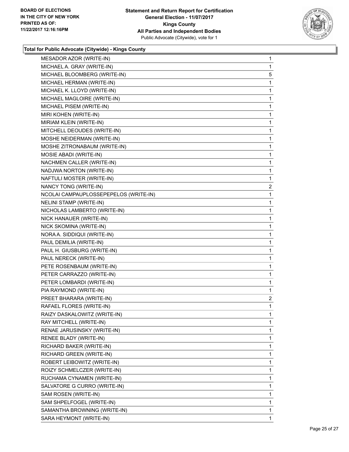

| MESADOR AZOR (WRITE-IN)               | $\mathbf 1$ |
|---------------------------------------|-------------|
| MICHAEL A. GRAY (WRITE-IN)            | $\mathbf 1$ |
| MICHAEL BLOOMBERG (WRITE-IN)          | 5           |
| MICHAEL HERMAN (WRITE-IN)             | $\mathbf 1$ |
| MICHAEL K. LLOYD (WRITE-IN)           | $\mathbf 1$ |
| MICHAEL MAGLOIRE (WRITE-IN)           | $\mathbf 1$ |
| MICHAEL PISEM (WRITE-IN)              | 1           |
| MIRI KOHEN (WRITE-IN)                 | $\mathbf 1$ |
| MIRIAM KLEIN (WRITE-IN)               | $\mathbf 1$ |
| MITCHELL DEOUDES (WRITE-IN)           | $\mathbf 1$ |
| MOSHE NEIDERMAN (WRITE-IN)            | $\mathbf 1$ |
| MOSHE ZITRONABAUM (WRITE-IN)          | $\mathbf 1$ |
| MOSIE ABADI (WRITE-IN)                | 1           |
| NACHMEN CALLER (WRITE-IN)             | $\mathbf 1$ |
| NADJWA NORTON (WRITE-IN)              | $\mathbf 1$ |
| NAFTULI MOSTER (WRITE-IN)             | 1           |
| NANCY TONG (WRITE-IN)                 | 2           |
| NCOLAI CAMPAUPLOSSEPEPELOS (WRITE-IN) | 1           |
| NELINI STAMP (WRITE-IN)               | $\mathbf 1$ |
| NICHOLAS LAMBERTO (WRITE-IN)          | $\mathbf 1$ |
| NICK HANAUER (WRITE-IN)               | $\mathbf 1$ |
| NICK SKOMINA (WRITE-IN)               | $\mathbf 1$ |
| NORA A. SIDDIQUI (WRITE-IN)           | $\mathbf 1$ |
| PAUL DEMILIA (WRITE-IN)               | $\mathbf 1$ |
| PAUL H. GIUSBURG (WRITE-IN)           | 1           |
| PAUL NERECK (WRITE-IN)                | $\mathbf 1$ |
| PETE ROSENBAUM (WRITE-IN)             | $\mathbf 1$ |
| PETER CARRAZZO (WRITE-IN)             | $\mathbf 1$ |
| PETER LOMBARDI (WRITE-IN)             | $\mathbf 1$ |
| PIA RAYMOND (WRITE-IN)                | $\mathbf 1$ |
| PREET BHARARA (WRITE-IN)              | 2           |
| RAFAEL FLORES (WRITE-IN)              | 1           |
| RAIZY DASKALOWITZ (WRITE-IN)          | 1           |
| RAY MITCHELL (WRITE-IN)               | 1           |
| RENAE JARUSINSKY (WRITE-IN)           | 1           |
| RENEE BLADY (WRITE-IN)                | 1           |
| RICHARD BAKER (WRITE-IN)              | 1           |
| RICHARD GREEN (WRITE-IN)              | 1           |
| ROBERT LEIBOWITZ (WRITE-IN)           | 1           |
| ROIZY SCHMELCZER (WRITE-IN)           | 1           |
| RUCHAMA CYNAMEN (WRITE-IN)            | 1           |
| SALVATORE G CURRO (WRITE-IN)          | 1           |
| SAM ROSEN (WRITE-IN)                  | 1           |
| SAM SHPELFOGEL (WRITE-IN)             | 1           |
| SAMANTHA BROWNING (WRITE-IN)          | 1           |
| SARA HEYMONT (WRITE-IN)               | 1           |
|                                       |             |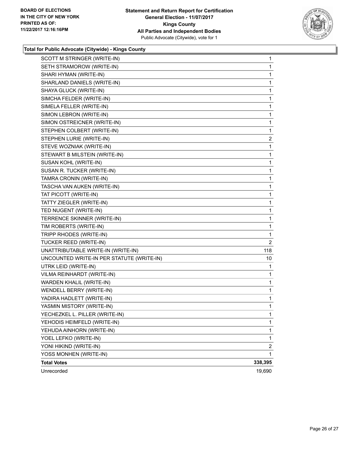

| SCOTT M STRINGER (WRITE-IN)               | 1              |
|-------------------------------------------|----------------|
| SETH STRAMOROW (WRITE-IN)                 | 1              |
| SHARI HYMAN (WRITE-IN)                    | 1              |
| SHARLAND DANIELS (WRITE-IN)               | 1              |
| SHAYA GLUCK (WRITE-IN)                    | 1              |
| SIMCHA FELDER (WRITE-IN)                  | 1              |
| SIMELA FELLER (WRITE-IN)                  | 1              |
| SIMON LEBRON (WRITE-IN)                   | 1              |
| SIMON OSTREICNER (WRITE-IN)               | 1              |
| STEPHEN COLBERT (WRITE-IN)                | 1              |
| STEPHEN LURIE (WRITE-IN)                  | 2              |
| STEVE WOZNIAK (WRITE-IN)                  | 1              |
| STEWART B MILSTEIN (WRITE-IN)             | 1              |
| SUSAN KOHL (WRITE-IN)                     | 1              |
| SUSAN R. TUCKER (WRITE-IN)                | 1              |
| TAMRA CRONIN (WRITE-IN)                   | 1              |
| TASCHA VAN AUKEN (WRITE-IN)               | 1              |
| TAT PICOTT (WRITE-IN)                     | 1              |
| TATTY ZIEGLER (WRITE-IN)                  | 1              |
| TED NUGENT (WRITE-IN)                     | 1              |
| TERRENCE SKINNER (WRITE-IN)               | 1              |
| TIM ROBERTS (WRITE-IN)                    | 1              |
| TRIPP RHODES (WRITE-IN)                   | 1              |
| TUCKER REED (WRITE-IN)                    | 2              |
| UNATTRIBUTABLE WRITE-IN (WRITE-IN)        | 118            |
| UNCOUNTED WRITE-IN PER STATUTE (WRITE-IN) | 10             |
| UTRK LEID (WRITE-IN)                      | 1              |
| VILMA REINHARDT (WRITE-IN)                | 1              |
| WARDEN KHALIL (WRITE-IN)                  | 1              |
| WENDELL BERRY (WRITE-IN)                  | 1              |
| YADIRA HADLETT (WRITE-IN)                 | 1              |
| YASMIN MISTORY (WRITE-IN)                 | 1              |
| YECHEZKEL L. PILLER (WRITE-IN)            | 1              |
| YEHODIS HEIMFELD (WRITE-IN)               | 1              |
| YEHUDA AINHORN (WRITE-IN)                 | 1              |
| YOEL LEFKO (WRITE-IN)                     | 1              |
| YONI HIKIND (WRITE-IN)                    | $\overline{2}$ |
| YOSS MONHEN (WRITE-IN)                    | 1              |
| <b>Total Votes</b>                        | 338,395        |
| Unrecorded                                | 19,690         |